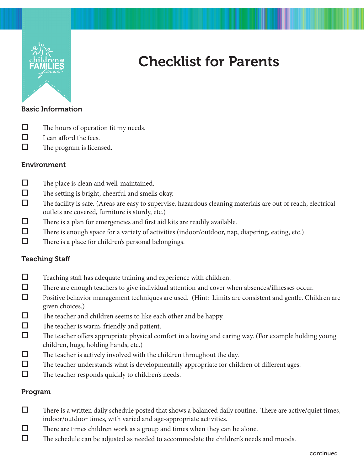

# Checklist for Parents

#### Basic Information

- $\Box$  The hours of operation fit my needs.
- $\Box$  I can afford the fees.
- $\Box$  The program is licensed.

# Environment

- $\Box$  The place is clean and well-maintained.
- $\Box$  The setting is bright, cheerful and smells okay.
- $\Box$  The facility is safe. (Areas are easy to supervise, hazardous cleaning materials are out of reach, electrical outlets are covered, furniture is sturdy, etc.)
- $\Box$  There is a plan for emergencies and first aid kits are readily available.
- There is enough space for a variety of activities (indoor/outdoor, nap, diapering, eating, etc.)
- $\Box$  There is a place for children's personal belongings.

# Teaching Staff

- $\Box$  Teaching staff has adequate training and experience with children.
- There are enough teachers to give individual attention and cover when absences/illnesses occur.
- Positive behavior management techniques are used. (Hint: Limits are consistent and gentle. Children are given choices.)
- $\Box$  The teacher and children seems to like each other and be happy.
- $\Box$  The teacher is warm, friendly and patient.
- The teacher offers appropriate physical comfort in a loving and caring way. (For example holding young children, hugs, holding hands, etc.)
- $\Box$  The teacher is actively involved with the children throughout the day.
- $\Box$  The teacher understands what is developmentally appropriate for children of different ages.
- $\Box$  The teacher responds quickly to children's needs.

# Program

- $\Box$  There is a written daily schedule posted that shows a balanced daily routine. There are active/quiet times, indoor/outdoor times, with varied and age-appropriate activities.
- $\Box$  There are times children work as a group and times when they can be alone.
- $\Box$  The schedule can be adjusted as needed to accommodate the children's needs and moods.